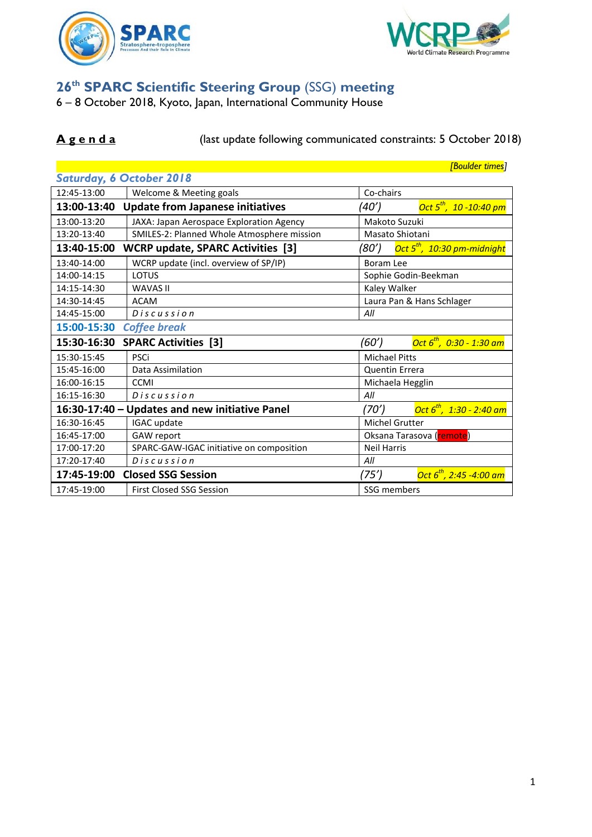



## **26th SPARC Scientific Steering Group** (SSG) **meeting**

6 – 8 October 2018, Kyoto, Japan, International Community House

## **A g e n d a** (last update following communicated constraints: 5 October 2018)

|                                    |                                                | <b>[Boulder times]</b>                           |  |  |  |  |
|------------------------------------|------------------------------------------------|--------------------------------------------------|--|--|--|--|
| Saturday, 6 October 2018           |                                                |                                                  |  |  |  |  |
| 12:45-13:00                        | Welcome & Meeting goals                        | Co-chairs                                        |  |  |  |  |
| 13:00-13:40                        | <b>Update from Japanese initiatives</b>        | Oct $5^{th}$ , 10 -10:40 pm<br>(40')             |  |  |  |  |
| 13:00-13:20                        | JAXA: Japan Aerospace Exploration Agency       | Makoto Suzuki                                    |  |  |  |  |
| 13:20-13:40                        | SMILES-2: Planned Whole Atmosphere mission     | Masato Shiotani                                  |  |  |  |  |
| 13:40-15:00                        | <b>WCRP update, SPARC Activities [3]</b>       | Oct 5 <sup>th</sup> , 10:30 pm-midnight<br>(80') |  |  |  |  |
| 13:40-14:00                        | WCRP update (incl. overview of SP/IP)          | <b>Boram Lee</b>                                 |  |  |  |  |
| 14:00-14:15                        | LOTUS                                          | Sophie Godin-Beekman                             |  |  |  |  |
| 14:15-14:30                        | <b>WAVAS II</b>                                | Kaley Walker                                     |  |  |  |  |
| 14:30-14:45                        | <b>ACAM</b>                                    | Laura Pan & Hans Schlager                        |  |  |  |  |
| 14:45-15:00                        | Discus sion                                    | All                                              |  |  |  |  |
| 15:00-15:30<br><b>Coffee break</b> |                                                |                                                  |  |  |  |  |
| 15:30-16:30                        | <b>SPARC Activities [3]</b>                    | Oct $6^{th}$ , 0:30 - 1:30 am<br>(60')           |  |  |  |  |
| 15:30-15:45                        | <b>PSCi</b>                                    | <b>Michael Pitts</b>                             |  |  |  |  |
| 15:45-16:00                        | Data Assimilation                              | <b>Quentin Errera</b>                            |  |  |  |  |
| 16:00-16:15                        | <b>CCMI</b>                                    | Michaela Hegglin                                 |  |  |  |  |
| 16:15-16:30                        | Discus sion                                    | All                                              |  |  |  |  |
|                                    | 16:30-17:40 - Updates and new initiative Panel | Oct 6 <sup>th</sup> , 1:30 - 2:40 am<br>(70′)    |  |  |  |  |
| 16:30-16:45                        | IGAC update                                    | Michel Grutter                                   |  |  |  |  |
| 16:45-17:00                        | GAW report                                     | Oksana Tarasova (remote)                         |  |  |  |  |
| 17:00-17:20                        | SPARC-GAW-IGAC initiative on composition       | <b>Neil Harris</b>                               |  |  |  |  |
| 17:20-17:40                        | Discussion                                     | All                                              |  |  |  |  |
| 17:45-19:00                        | <b>Closed SSG Session</b>                      | (75′)<br>Oct $6^{th}$ , 2:45 -4:00 am            |  |  |  |  |
| 17:45-19:00                        | <b>First Closed SSG Session</b>                | SSG members                                      |  |  |  |  |